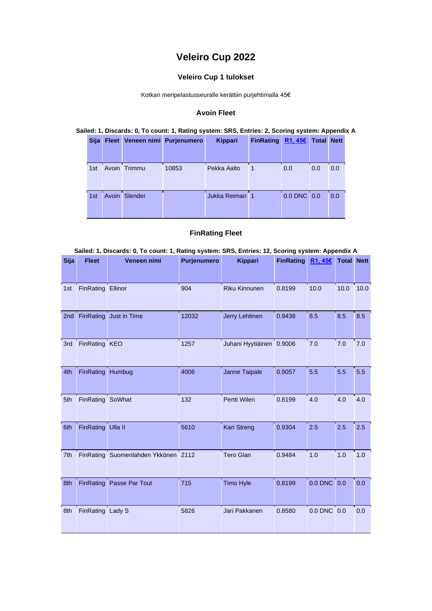# **Veleiro Cup 2022**

### **Veleiro Cup 1 tulokset**

Kotkan meripelastusseuralle kerättiin purjehtimalla 45€

#### **Avoin Fleet**

#### **Sailed: 1, Discards: 0, To count: 1, Rating system: SRS, Entries: 2, Scoring system: Appendix A**

| <b>Sija</b> | <b>Fleet</b> |              | Veneen nimi Purjenumero | <b>Kippari</b> | <b>FinRating</b> | R1, 456     | <b>Total Nett</b> |     |
|-------------|--------------|--------------|-------------------------|----------------|------------------|-------------|-------------------|-----|
| 1st         |              | Avoin Trimmu | 10853                   | Pekka Aalto    |                  | 0.0         | 0.0               | 0.0 |
| 1st         | Avoin        | Slender      |                         | Jukka Reiman 1 |                  | 0.0 DNC 0.0 |                   | 0.0 |

### **FinRating Fleet**

| Sailed: 1, Discards: 0, To count: 1, Rating system: SRS, Entries: 12, Scoring system: Appendix A |                   |                                     |             |                          |                    |             |                   |      |  |  |  |
|--------------------------------------------------------------------------------------------------|-------------------|-------------------------------------|-------------|--------------------------|--------------------|-------------|-------------------|------|--|--|--|
| <b>Sija</b>                                                                                      | <b>Fleet</b>      | Veneen nimi                         | Purjenumero | <b>Kippari</b>           | FinRating $R1,456$ |             | <b>Total Nett</b> |      |  |  |  |
| 1st                                                                                              | FinRating Ellinor |                                     | 904         | Riku Kinnunen            | 0.8199             | 10.0        | 10.0              | 10.0 |  |  |  |
| 2nd                                                                                              |                   | FinRating Just in Time              | 12032       | Jerry Lehtinen           | 0.9438             | 8.5         | 8.5               | 8.5  |  |  |  |
| 3rd                                                                                              | FinRating KEO     |                                     | 1257        | Juhani Hyytiäinen 0.9006 |                    | 7.0         | 7.0               | 7.0  |  |  |  |
| 4th                                                                                              | FinRating Humbug  |                                     | 4006        | Janne Taipale            | 0.9057             | 5.5         | 5.5               | 5.5  |  |  |  |
| 5th                                                                                              | FinRating SoWhat  |                                     | 132         | Pertti Wilen             | 0.8199             | 4.0         | 4.0               | 4.0  |  |  |  |
| 6th                                                                                              | FinRating Ulla II |                                     | 5610        | <b>Kari Streng</b>       | 0.9304             | 2.5         | 2.5               | 2.5  |  |  |  |
| 7th                                                                                              |                   | FinRating Suomenlahden Ykkönen 2112 |             | <b>Tero Glan</b>         | 0.9484             | 1.0         | 1.0               | 1.0  |  |  |  |
| 8th                                                                                              |                   | <b>FinRating Passe Par Tout</b>     | 715         | <b>Timo Hyle</b>         | 0.8199             | 0.0 DNC 0.0 |                   | 0.0  |  |  |  |
| 8th                                                                                              | FinRating Lady S  |                                     | 5826        | Jari Pakkanen            | 0.8580             | 0.0 DNC 0.0 |                   | 0.0  |  |  |  |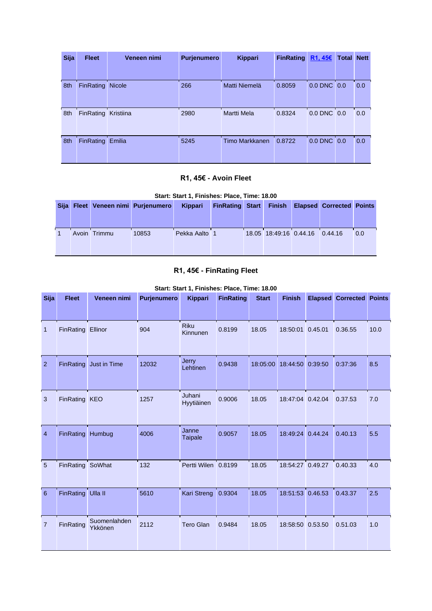| <b>Sija</b> | <b>Fleet</b>        | Veneen nimi   | <b>Purjenumero</b> | Kippari        | <b>FinRating</b> | R1,456      | <b>Total Nett</b> |     |
|-------------|---------------------|---------------|--------------------|----------------|------------------|-------------|-------------------|-----|
|             |                     |               |                    |                |                  |             |                   |     |
| 8th         | <b>FinRating</b>    | <b>Nicole</b> | 266                | Matti Niemelä  | 0.8059           | 0.0 DNC 0.0 |                   | 0.0 |
| 8th         | FinRating Kristiina |               | 2980               | Martti Mela    | 0.8324           | 0.0 DNC 0.0 |                   | 0.0 |
| 8th         | <b>FinRating</b>    | Emilia        | 5245               | Timo Markkanen | 0.8722           | $0.0$ DNC   | 0.0               | 0.0 |

### **R1, 45€ - Avoin Fleet**

| Start: Start 1, Finishes: Place, Time: 18.00 |
|----------------------------------------------|
|----------------------------------------------|

|  |              | Sija Fleet Veneen nimi Purjenumero | Kippari       | <b>FinRating Start</b> |                                | <b>Finish Elapsed Corrected Points</b> |     |
|--|--------------|------------------------------------|---------------|------------------------|--------------------------------|----------------------------------------|-----|
|  | Avoin Trimmu | 10853                              | Pekka Aalto 1 |                        | 18.05 18:49:16 0.44.16 0.44.16 |                                        | 0.0 |

## **R1, 45€ - FinRating Fleet**

**Start: Start 1, Finishes: Place, Time: 18.00** 

| <b>Sija</b>    | <b>Fleet</b>      | Veneen nimi             | Purjenumero | <b>Kippari</b>          | <b>FinRating</b> | <b>Start</b> | <b>Finish</b>    |         | <b>Elapsed Corrected Points</b> |      |
|----------------|-------------------|-------------------------|-------------|-------------------------|------------------|--------------|------------------|---------|---------------------------------|------|
| 1              | FinRating         | Ellinor                 | 904         | <b>Riku</b><br>Kinnunen | 0.8199           | 18.05        | 18:50:01 0.45.01 |         | 0.36.55                         | 10.0 |
| 2              |                   | FinRating Just in Time  | 12032       | Jerry<br>Lehtinen       | 0.9438           | 18:05:00     | 18:44:50         | 0:39:50 | 0:37:36                         | 8.5  |
| 3              | FinRating KEO     |                         | 1257        | Juhani<br>Hyytiäinen    | 0.9006           | 18.05        | 18:47:04 0.42.04 |         | 0.37.53                         | 7.0  |
| $\overline{4}$ | FinRating Humbug  |                         | 4006        | Janne<br><b>Taipale</b> | 0.9057           | 18.05        | 18:49:24 0.44.24 |         | 0.40.13                         | 5.5  |
| 5              | FinRating SoWhat  |                         | 132         | Pertti Wilen 0.8199     |                  | 18.05        | 18:54:27 0.49.27 |         | 0.40.33                         | 4.0  |
| 6              | FinRating Ulla II |                         | 5610        | Kari Streng             | 0.9304           | 18.05        | 18:51:53 0.46.53 |         | 0.43.37                         | 2.5  |
| $\overline{7}$ | <b>FinRating</b>  | Suomenlahden<br>Ykkönen | 2112        | <b>Tero Glan</b>        | 0.9484           | 18.05        | 18:58:50 0.53.50 |         | 0.51.03                         | 1.0  |